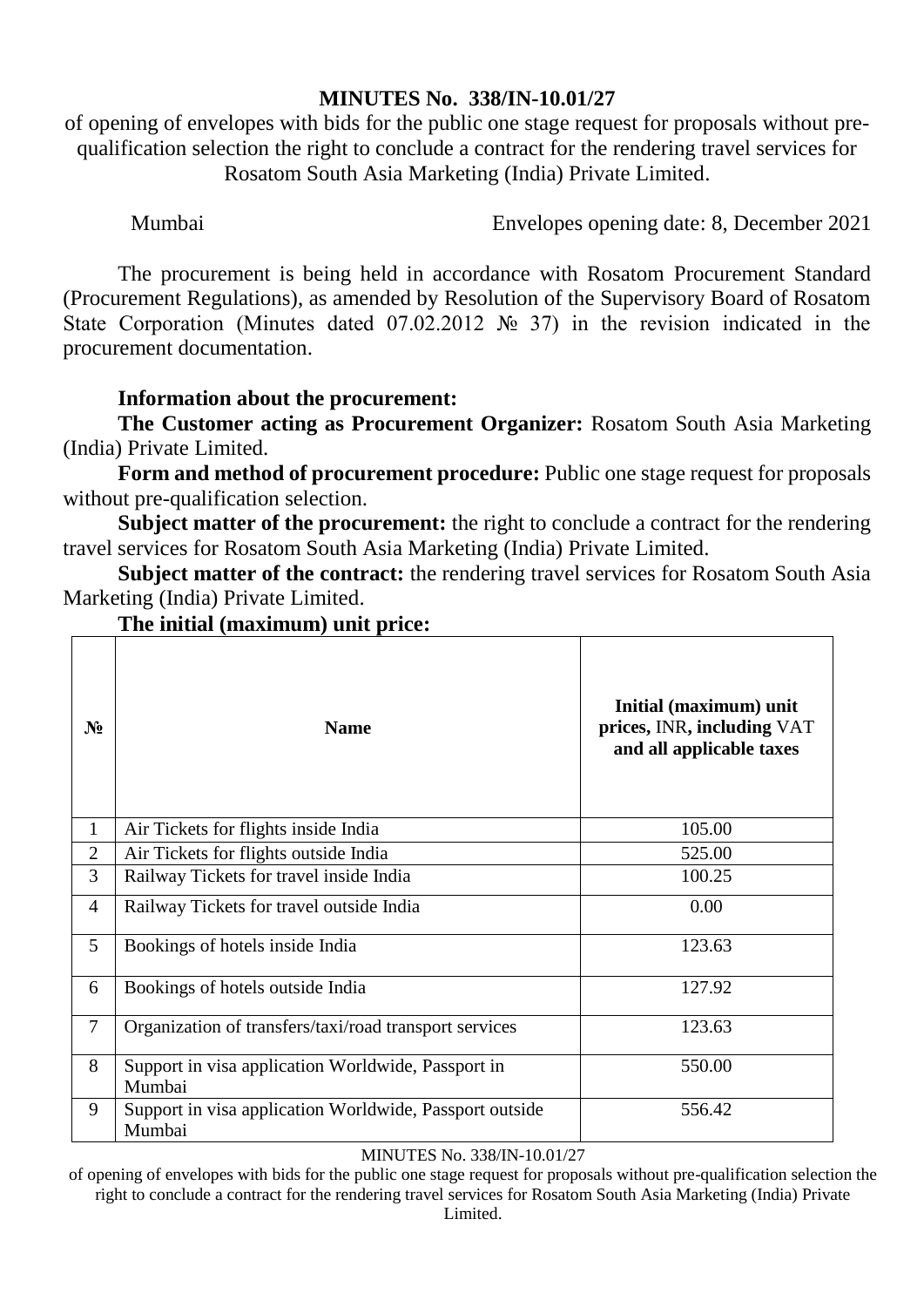## **MINUTES No. 338/IN-10.01/27**

of opening of envelopes with bids for the public one stage request for proposals without prequalification selection the right to conclude a contract for the rendering travel services for Rosatom South Asia Marketing (India) Private Limited.

Mumbai Envelopes opening date: 8, December 2021

The procurement is being held in accordance with Rosatom Procurement Standard (Procurement Regulations), as amended by Resolution of the Supervisory Board of Rosatom State Corporation (Minutes dated 07.02.2012 № 37) in the revision indicated in the procurement documentation.

# **Information about the procurement:**

**The Customer acting as Procurement Organizer:** Rosatom South Asia Marketing (India) Private Limited.

**Form and method of procurement procedure:** Public one stage request for proposals without pre-qualification selection.

**Subject matter of the procurement:** the right to conclude a contract for the rendering travel services for Rosatom South Asia Marketing (India) Private Limited.

**Subject matter of the contract:** the rendering travel services for Rosatom South Asia Marketing (India) Private Limited.

| $N_2$          | <b>Name</b>                                                       | Initial (maximum) unit<br>prices, INR, including VAT<br>and all applicable taxes |  |
|----------------|-------------------------------------------------------------------|----------------------------------------------------------------------------------|--|
| $\mathbf{1}$   | Air Tickets for flights inside India                              | 105.00                                                                           |  |
| $\overline{2}$ | Air Tickets for flights outside India                             | 525.00                                                                           |  |
| 3              | Railway Tickets for travel inside India                           | 100.25                                                                           |  |
| $\overline{4}$ | Railway Tickets for travel outside India                          | 0.00                                                                             |  |
| 5              | Bookings of hotels inside India                                   | 123.63                                                                           |  |
| 6              | Bookings of hotels outside India                                  | 127.92                                                                           |  |
| $\overline{7}$ | Organization of transfers/taxi/road transport services            | 123.63                                                                           |  |
| 8              | Support in visa application Worldwide, Passport in<br>Mumbai      | 550.00                                                                           |  |
| 9              | Support in visa application Worldwide, Passport outside<br>Mumbai | 556.42                                                                           |  |

# **The initial (maximum) unit price:**

### MINUTES No. 338/IN-10.01/27

of opening of envelopes with bids for the public one stage request for proposals without pre-qualification selection the right to conclude a contract for the rendering travel services for Rosatom South Asia Marketing (India) Private Limited.